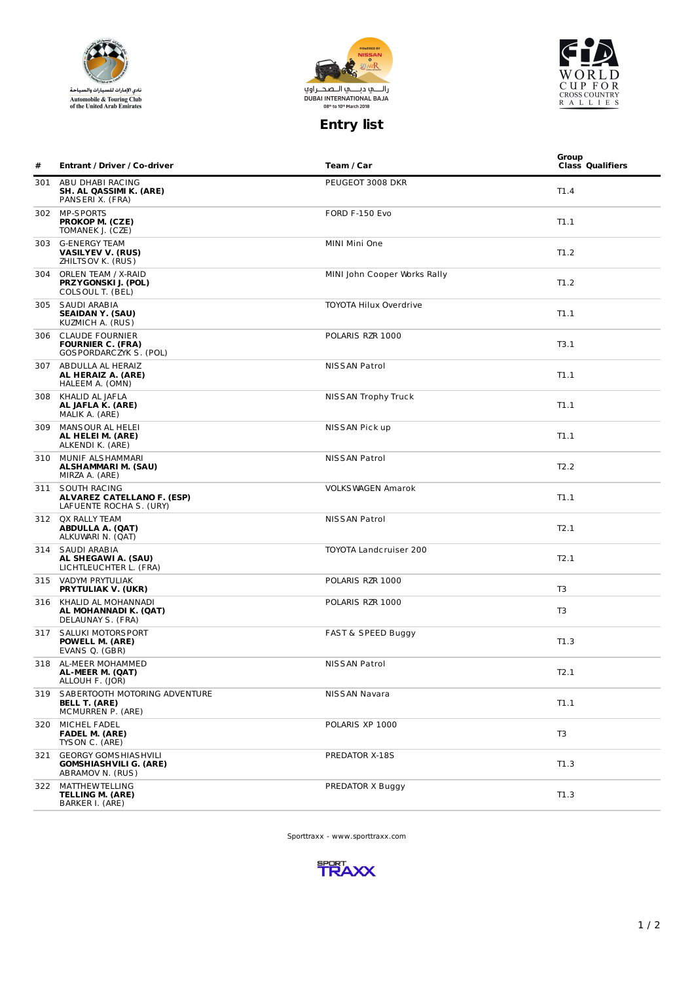





## **Entry list**

| # | <b>Entrant / Driver / Co-driver</b>                                              | Team / Car                    | Group<br><b>Class Qualifiers</b> |
|---|----------------------------------------------------------------------------------|-------------------------------|----------------------------------|
|   | 301 ABU DHABI RACING<br>SH. AL QASSIMI K. (ARE)<br>PANSERIX. (FRA)               | PEUGEOT 3008 DKR              | T1.4                             |
|   | 302 MP-SPORTS<br>PROKOP M. (CZE)<br>TOMANEK J. (CZE)                             | FORD F-150 Evo                | T1.1                             |
|   | 303 G-ENERGY TEAM<br>VASILYEV V. (RUS)<br>ZHILTS OV K. (RUS)                     | MINI Mini One                 | T1.2                             |
|   | 304 ORLEN TEAM / X-RAID<br>PRZYGONSKI J. (POL)<br>COLSOUL T. (BEL)               | MINI John Cooper Works Rally  | T1.2                             |
|   | 305 SAUDI ARABIA<br><b>SEAIDAN Y. (SAU)</b><br>KUZMICH A. (RUS)                  | <b>TOYOTA Hilux Overdrive</b> | T1.1                             |
|   | 306 CLAUDE FOURNIER<br><b>FOURNIER C. (FRA)</b><br>GOS PORDARCZYK S. (POL)       | POLARIS RZR 1000              | T3.1                             |
|   | 307 ABDULLA AL HERAIZ<br>AL HERAIZ A. (ARE)<br>HALEEM A. (OMN)                   | NISSAN Patrol                 | T1.1                             |
|   | 308 KHALID AL JAFLA<br>AL JAFLA K. (ARE)<br>MALIK A. (ARE)                       | NISSAN Trophy Truck           | T1.1                             |
|   | 309 MANSOUR AL HELEI<br>AL HELEI M. (ARE)<br>ALKENDI K. (ARE)                    | NISSAN Pick up                | T1.1                             |
|   | 310 MUNIF ALS HAMMARI<br>ALSHAMMARI M. (SAU)<br>MIRZA A. (ARE)                   | NISSAN Patrol                 | T2.2                             |
|   | 311 SOUTH RACING<br><b>ALVAREZ CATELLANO F. (ESP)</b><br>LAFUENTE ROCHA S. (URY) | <b>VOLKS WAGEN Amarok</b>     | T1.1                             |
|   | 312 QX RALLY TEAM<br><b>ABDULLA A. (QAT)</b><br>ALKUWARI N. (QAT)                | NISSAN Patrol                 | T2.1                             |
|   | 314 SAUDI ARABIA<br>AL SHEGAWI A. (SAU)<br>LICHTLEUCHTER L. (FRA)                | <b>TOYOTA Landcruiser 200</b> | T2.1                             |
|   | 315 VADYM PRYTULIAK<br><b>PRYTULIAK V. (UKR)</b>                                 | POLARIS RZR 1000              | T <sub>3</sub>                   |
|   | 316 KHALID AL MOHANNADI<br>AL MOHANNADI K. (QAT)<br>DELAUNAY S. (FRA)            | POLARIS RZR 1000              | T <sub>3</sub>                   |
|   | 317 SALUKI MOTORS PORT<br>POWELL M. (ARE)<br>EVANS Q. (GBR)                      | <b>FAST &amp; SPEED Buggy</b> | T1.3                             |
|   | 318 AL-MEER MOHAMMED<br>AL-MEER M. (QAT)<br>ALLOUH F. (JOR)                      | <b>NISSAN Patrol</b>          | T2.1                             |
|   | 319 SABERTOOTH MOTORING ADVENTURE<br><b>BELL T. (ARE)</b><br>MCMURREN P. (ARE)   | NISSAN Navara                 | T1.1                             |
|   | 320 MICHEL FADEL<br><b>FADEL M. (ARE)</b><br>TYS ON C. (ARE)                     | POLARIS XP 1000               | T <sub>3</sub>                   |
|   | 321 GEORGY GOMS HIAS HVILI<br><b>GOMSHIASHVILI G. (ARE)</b><br>ABRAMOV N. (RUS)  | PREDATOR X-18S                | T1.3                             |
|   | 322 MATTHEWTELLING<br><b>TELLING M. (ARE)</b><br>BARKER I. (ARE)                 | PREDATOR X Buggy              | T1.3                             |

Sporttraxx - www.sporttraxx.com